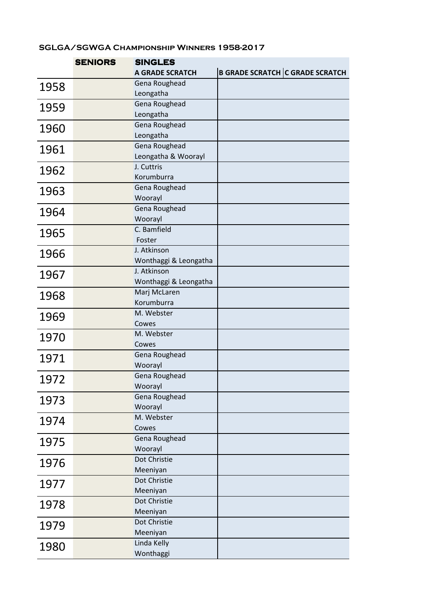## SGLGA/SGWGA Championship Winners 1958-2017

|      | <b>SENIORS</b> | <b>SINGLES</b>                    |                                        |  |
|------|----------------|-----------------------------------|----------------------------------------|--|
|      |                | <b>A GRADE SCRATCH</b>            | <b>B GRADE SCRATCH C GRADE SCRATCH</b> |  |
| 1958 |                | Gena Roughead                     |                                        |  |
|      |                | Leongatha                         |                                        |  |
| 1959 |                | Gena Roughead                     |                                        |  |
|      |                | Leongatha                         |                                        |  |
| 1960 |                | Gena Roughead                     |                                        |  |
|      |                | Leongatha                         |                                        |  |
| 1961 |                | Gena Roughead                     |                                        |  |
|      |                | Leongatha & Woorayl<br>J. Cuttris |                                        |  |
| 1962 |                | Korumburra                        |                                        |  |
|      |                | Gena Roughead                     |                                        |  |
| 1963 |                | Woorayl                           |                                        |  |
|      |                | Gena Roughead                     |                                        |  |
| 1964 |                | Woorayl                           |                                        |  |
| 1965 |                | C. Bamfield                       |                                        |  |
|      |                | Foster                            |                                        |  |
| 1966 |                | J. Atkinson                       |                                        |  |
|      |                | Wonthaggi & Leongatha             |                                        |  |
| 1967 |                | J. Atkinson                       |                                        |  |
|      |                | Wonthaggi & Leongatha             |                                        |  |
| 1968 |                | Marj McLaren                      |                                        |  |
|      |                | Korumburra                        |                                        |  |
| 1969 |                | M. Webster                        |                                        |  |
|      |                | Cowes<br>M. Webster               |                                        |  |
| 1970 |                | Cowes                             |                                        |  |
|      |                | Gena Roughead                     |                                        |  |
| 1971 |                | Woorayl                           |                                        |  |
| 1972 |                | Gena Roughead                     |                                        |  |
|      |                | Woorayl                           |                                        |  |
| 1973 |                | Gena Roughead                     |                                        |  |
|      |                | Woorayl                           |                                        |  |
| 1974 |                | M. Webster                        |                                        |  |
|      |                | Cowes                             |                                        |  |
| 1975 |                | Gena Roughead                     |                                        |  |
|      |                | Woorayl<br>Dot Christie           |                                        |  |
| 1976 |                | Meeniyan                          |                                        |  |
|      |                | Dot Christie                      |                                        |  |
| 1977 |                | Meeniyan                          |                                        |  |
|      |                | Dot Christie                      |                                        |  |
| 1978 |                | Meeniyan                          |                                        |  |
| 1979 |                | Dot Christie                      |                                        |  |
|      |                | Meeniyan                          |                                        |  |
| 1980 |                | Linda Kelly                       |                                        |  |
|      |                | Wonthaggi                         |                                        |  |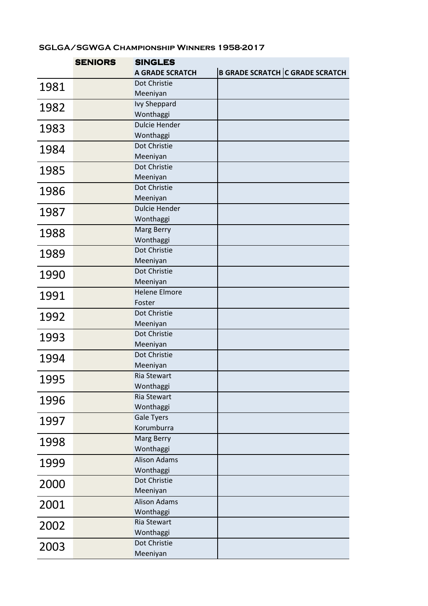## SGLGA/SGWGA Championship Winners 1958-2017

|      | <b>SENIORS</b> | <b>SINGLES</b>                   |  |                                        |
|------|----------------|----------------------------------|--|----------------------------------------|
|      |                | <b>A GRADE SCRATCH</b>           |  | <b>B GRADE SCRATCH C GRADE SCRATCH</b> |
| 1981 |                | Dot Christie                     |  |                                        |
|      |                | Meeniyan                         |  |                                        |
| 1982 |                | <b>Ivy Sheppard</b>              |  |                                        |
|      |                | Wonthaggi                        |  |                                        |
| 1983 |                | <b>Dulcie Hender</b>             |  |                                        |
|      |                | Wonthaggi                        |  |                                        |
| 1984 |                | Dot Christie                     |  |                                        |
|      |                | Meeniyan<br>Dot Christie         |  |                                        |
| 1985 |                | Meeniyan                         |  |                                        |
|      |                | Dot Christie                     |  |                                        |
| 1986 |                | Meeniyan                         |  |                                        |
| 1987 |                | <b>Dulcie Hender</b>             |  |                                        |
|      |                | Wonthaggi                        |  |                                        |
| 1988 |                | Marg Berry                       |  |                                        |
|      |                | Wonthaggi                        |  |                                        |
| 1989 |                | Dot Christie                     |  |                                        |
|      |                | Meeniyan                         |  |                                        |
| 1990 |                | Dot Christie                     |  |                                        |
|      |                | Meeniyan                         |  |                                        |
| 1991 |                | <b>Helene Elmore</b>             |  |                                        |
|      |                | Foster                           |  |                                        |
| 1992 |                | Dot Christie                     |  |                                        |
|      |                | Meeniyan<br>Dot Christie         |  |                                        |
| 1993 |                | Meeniyan                         |  |                                        |
|      |                | Dot Christie                     |  |                                        |
| 1994 |                | Meeniyan                         |  |                                        |
| 1995 |                | <b>Ria Stewart</b>               |  |                                        |
|      |                | Wonthaggi                        |  |                                        |
| 1996 |                | <b>Ria Stewart</b>               |  |                                        |
|      |                | Wonthaggi                        |  |                                        |
| 1997 |                | <b>Gale Tyers</b>                |  |                                        |
|      |                | Korumburra                       |  |                                        |
| 1998 |                | Marg Berry                       |  |                                        |
|      |                | Wonthaggi<br><b>Alison Adams</b> |  |                                        |
| 1999 |                | Wonthaggi                        |  |                                        |
|      |                | Dot Christie                     |  |                                        |
| 2000 |                | Meeniyan                         |  |                                        |
|      |                | <b>Alison Adams</b>              |  |                                        |
| 2001 |                | Wonthaggi                        |  |                                        |
| 2002 |                | Ria Stewart                      |  |                                        |
|      |                | Wonthaggi                        |  |                                        |
| 2003 |                | Dot Christie                     |  |                                        |
|      |                | Meeniyan                         |  |                                        |